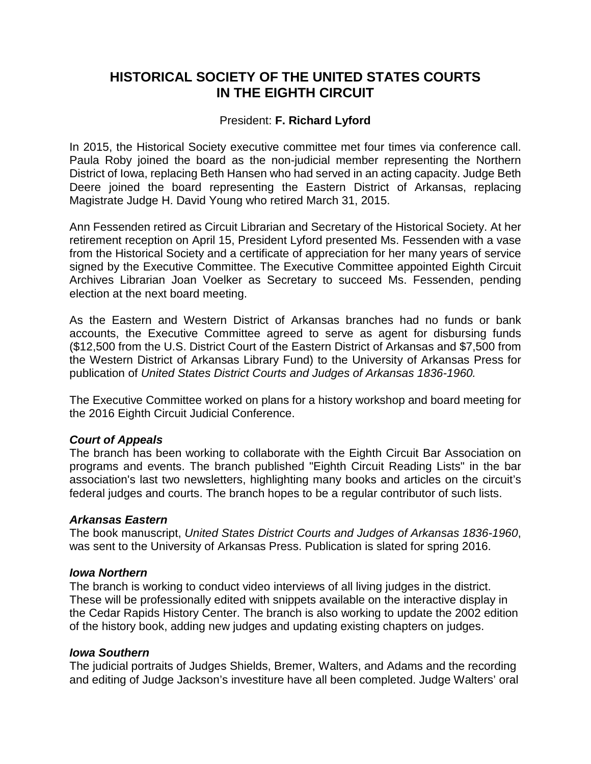# **HISTORICAL SOCIETY OF THE UNITED STATES COURTS IN THE EIGHTH CIRCUIT**

# President: **F. Richard Lyford**

In 2015, the Historical Society executive committee met four times via conference call. Paula Roby joined the board as the non-judicial member representing the Northern District of Iowa, replacing Beth Hansen who had served in an acting capacity. Judge Beth Deere joined the board representing the Eastern District of Arkansas, replacing Magistrate Judge H. David Young who retired March 31, 2015.

Ann Fessenden retired as Circuit Librarian and Secretary of the Historical Society. At her retirement reception on April 15, President Lyford presented Ms. Fessenden with a vase from the Historical Society and a certificate of appreciation for her many years of service signed by the Executive Committee. The Executive Committee appointed Eighth Circuit Archives Librarian Joan Voelker as Secretary to succeed Ms. Fessenden, pending election at the next board meeting.

As the Eastern and Western District of Arkansas branches had no funds or bank accounts, the Executive Committee agreed to serve as agent for disbursing funds (\$12,500 from the U.S. District Court of the Eastern District of Arkansas and \$7,500 from the Western District of Arkansas Library Fund) to the University of Arkansas Press for publication of *United States District Courts and Judges of Arkansas 1836-1960.*

The Executive Committee worked on plans for a history workshop and board meeting for the 2016 Eighth Circuit Judicial Conference.

# *Court of Appeals*

The branch has been working to collaborate with the Eighth Circuit Bar Association on programs and events. The branch published "Eighth Circuit Reading Lists" in the bar association's last two newsletters, highlighting many books and articles on the circuit's federal judges and courts. The branch hopes to be a regular contributor of such lists.

### *Arkansas Eastern*

The book manuscript, *United States District Courts and Judges of Arkansas 1836-1960*, was sent to the University of Arkansas Press. Publication is slated for spring 2016.

### *Iowa Northern*

The branch is working to conduct video interviews of all living judges in the district. These will be professionally edited with snippets available on the interactive display in the Cedar Rapids History Center. The branch is also working to update the 2002 edition of the history book, adding new judges and updating existing chapters on judges.

### *Iowa Southern*

The judicial portraits of Judges Shields, Bremer, Walters, and Adams and the recording and editing of Judge Jackson's investiture have all been completed. Judge Walters' oral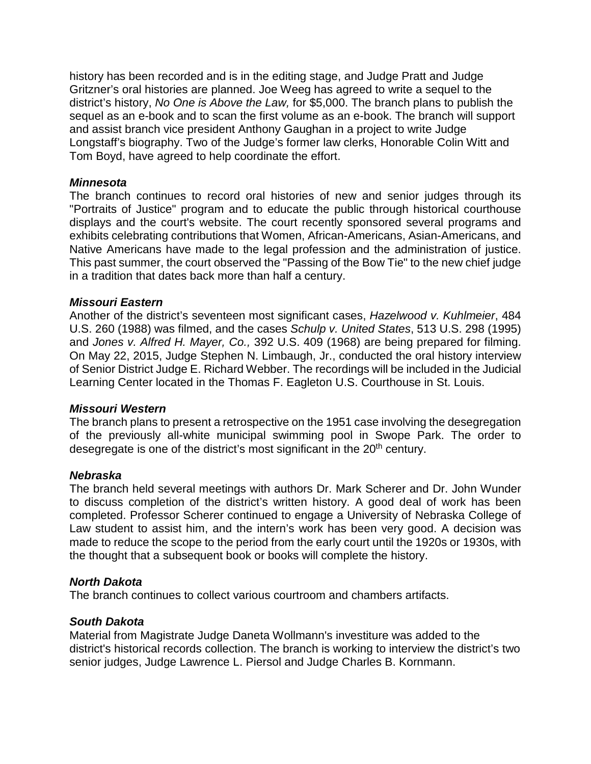history has been recorded and is in the editing stage, and Judge Pratt and Judge Gritzner's oral histories are planned. Joe Weeg has agreed to write a sequel to the district's history, *No One is Above the Law,* for \$5,000. The branch plans to publish the sequel as an e-book and to scan the first volume as an e-book. The branch will support and assist branch vice president Anthony Gaughan in a project to write Judge Longstaff's biography. Two of the Judge's former law clerks, Honorable Colin Witt and Tom Boyd, have agreed to help coordinate the effort.

### *Minnesota*

The branch continues to record oral histories of new and senior judges through its "Portraits of Justice" program and to educate the public through historical courthouse displays and the court's website. The court recently sponsored several programs and exhibits celebrating contributions that Women, African-Americans, Asian-Americans, and Native Americans have made to the legal profession and the administration of justice. This past summer, the court observed the "Passing of the Bow Tie" to the new chief judge in a tradition that dates back more than half a century.

### *Missouri Eastern*

Another of the district's seventeen most significant cases, *Hazelwood v. Kuhlmeier*, 484 U.S. 260 (1988) was filmed, and the cases *Schulp v. United States*, 513 U.S. 298 (1995) and *Jones v. Alfred H. Mayer, Co.,* 392 U.S. 409 (1968) are being prepared for filming. On May 22, 2015, Judge Stephen N. Limbaugh, Jr., conducted the oral history interview of Senior District Judge E. Richard Webber. The recordings will be included in the Judicial Learning Center located in the Thomas F. Eagleton U.S. Courthouse in St. Louis.

### *Missouri Western*

The branch plans to present a retrospective on the 1951 case involving the desegregation of the previously all-white municipal swimming pool in Swope Park. The order to desegregate is one of the district's most significant in the 20<sup>th</sup> century.

### *Nebraska*

The branch held several meetings with authors Dr. Mark Scherer and Dr. John Wunder to discuss completion of the district's written history. A good deal of work has been completed. Professor Scherer continued to engage a University of Nebraska College of Law student to assist him, and the intern's work has been very good. A decision was made to reduce the scope to the period from the early court until the 1920s or 1930s, with the thought that a subsequent book or books will complete the history.

### *North Dakota*

The branch continues to collect various courtroom and chambers artifacts.

# *South Dakota*

Material from Magistrate Judge Daneta Wollmann's investiture was added to the district's historical records collection. The branch is working to interview the district's two senior judges, Judge Lawrence L. Piersol and Judge Charles B. Kornmann.